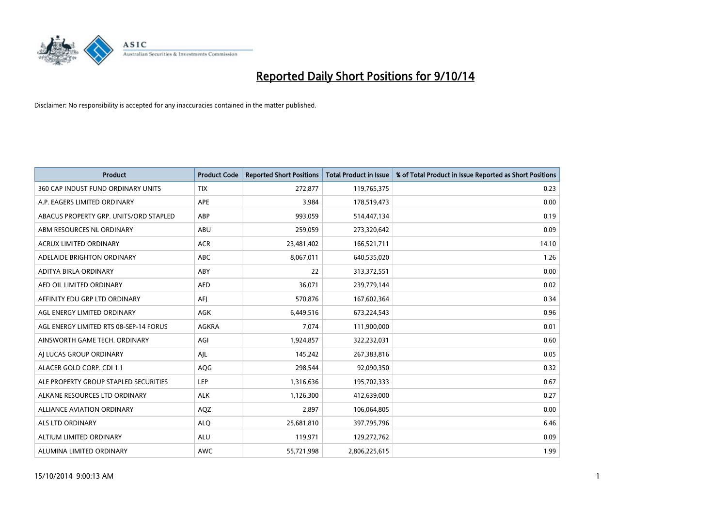

| <b>Product</b>                         | <b>Product Code</b> | <b>Reported Short Positions</b> | <b>Total Product in Issue</b> | % of Total Product in Issue Reported as Short Positions |
|----------------------------------------|---------------------|---------------------------------|-------------------------------|---------------------------------------------------------|
| 360 CAP INDUST FUND ORDINARY UNITS     | <b>TIX</b>          | 272,877                         | 119,765,375                   | 0.23                                                    |
| A.P. EAGERS LIMITED ORDINARY           | APE                 | 3,984                           | 178,519,473                   | 0.00                                                    |
| ABACUS PROPERTY GRP. UNITS/ORD STAPLED | ABP                 | 993,059                         | 514,447,134                   | 0.19                                                    |
| ABM RESOURCES NL ORDINARY              | ABU                 | 259,059                         | 273,320,642                   | 0.09                                                    |
| <b>ACRUX LIMITED ORDINARY</b>          | <b>ACR</b>          | 23,481,402                      | 166,521,711                   | 14.10                                                   |
| ADELAIDE BRIGHTON ORDINARY             | <b>ABC</b>          | 8,067,011                       | 640,535,020                   | 1.26                                                    |
| ADITYA BIRLA ORDINARY                  | ABY                 | 22                              | 313,372,551                   | 0.00                                                    |
| AED OIL LIMITED ORDINARY               | <b>AED</b>          | 36,071                          | 239,779,144                   | 0.02                                                    |
| AFFINITY EDU GRP LTD ORDINARY          | AFI                 | 570,876                         | 167,602,364                   | 0.34                                                    |
| AGL ENERGY LIMITED ORDINARY            | <b>AGK</b>          | 6,449,516                       | 673,224,543                   | 0.96                                                    |
| AGL ENERGY LIMITED RTS 08-SEP-14 FORUS | AGKRA               | 7,074                           | 111,900,000                   | 0.01                                                    |
| AINSWORTH GAME TECH. ORDINARY          | AGI                 | 1,924,857                       | 322,232,031                   | 0.60                                                    |
| AI LUCAS GROUP ORDINARY                | AJL                 | 145,242                         | 267,383,816                   | 0.05                                                    |
| ALACER GOLD CORP. CDI 1:1              | AQG                 | 298,544                         | 92,090,350                    | 0.32                                                    |
| ALE PROPERTY GROUP STAPLED SECURITIES  | <b>LEP</b>          | 1,316,636                       | 195,702,333                   | 0.67                                                    |
| ALKANE RESOURCES LTD ORDINARY          | <b>ALK</b>          | 1,126,300                       | 412,639,000                   | 0.27                                                    |
| ALLIANCE AVIATION ORDINARY             | AQZ                 | 2,897                           | 106,064,805                   | 0.00                                                    |
| <b>ALS LTD ORDINARY</b>                | <b>ALQ</b>          | 25,681,810                      | 397,795,796                   | 6.46                                                    |
| ALTIUM LIMITED ORDINARY                | <b>ALU</b>          | 119,971                         | 129,272,762                   | 0.09                                                    |
| ALUMINA LIMITED ORDINARY               | <b>AWC</b>          | 55,721,998                      | 2,806,225,615                 | 1.99                                                    |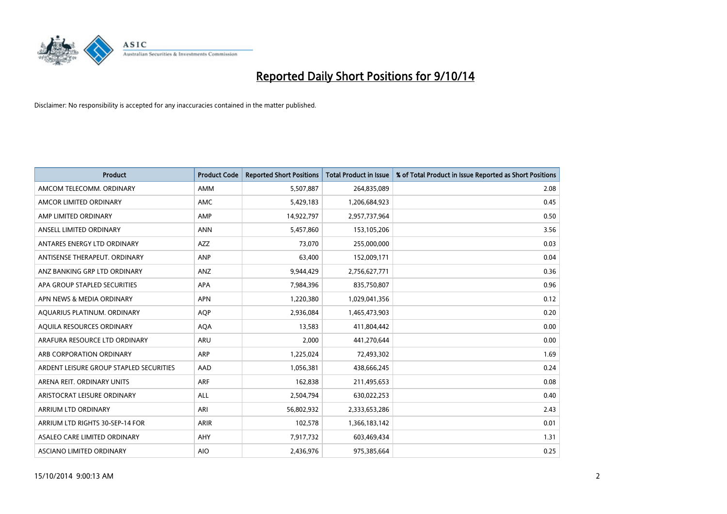

| <b>Product</b>                          | <b>Product Code</b> | <b>Reported Short Positions</b> | <b>Total Product in Issue</b> | % of Total Product in Issue Reported as Short Positions |
|-----------------------------------------|---------------------|---------------------------------|-------------------------------|---------------------------------------------------------|
| AMCOM TELECOMM, ORDINARY                | AMM                 | 5,507,887                       | 264,835,089                   | 2.08                                                    |
| AMCOR LIMITED ORDINARY                  | AMC                 | 5,429,183                       | 1,206,684,923                 | 0.45                                                    |
| AMP LIMITED ORDINARY                    | AMP                 | 14,922,797                      | 2,957,737,964                 | 0.50                                                    |
| ANSELL LIMITED ORDINARY                 | <b>ANN</b>          | 5,457,860                       | 153,105,206                   | 3.56                                                    |
| ANTARES ENERGY LTD ORDINARY             | AZZ                 | 73,070                          | 255,000,000                   | 0.03                                                    |
| ANTISENSE THERAPEUT, ORDINARY           | ANP                 | 63,400                          | 152,009,171                   | 0.04                                                    |
| ANZ BANKING GRP LTD ORDINARY            | ANZ                 | 9,944,429                       | 2,756,627,771                 | 0.36                                                    |
| APA GROUP STAPLED SECURITIES            | <b>APA</b>          | 7,984,396                       | 835,750,807                   | 0.96                                                    |
| APN NEWS & MEDIA ORDINARY               | <b>APN</b>          | 1,220,380                       | 1,029,041,356                 | 0.12                                                    |
| AQUARIUS PLATINUM. ORDINARY             | <b>AOP</b>          | 2,936,084                       | 1,465,473,903                 | 0.20                                                    |
| AQUILA RESOURCES ORDINARY               | <b>AQA</b>          | 13,583                          | 411,804,442                   | 0.00                                                    |
| ARAFURA RESOURCE LTD ORDINARY           | ARU                 | 2,000                           | 441,270,644                   | 0.00                                                    |
| ARB CORPORATION ORDINARY                | <b>ARP</b>          | 1,225,024                       | 72,493,302                    | 1.69                                                    |
| ARDENT LEISURE GROUP STAPLED SECURITIES | AAD                 | 1,056,381                       | 438,666,245                   | 0.24                                                    |
| ARENA REIT. ORDINARY UNITS              | <b>ARF</b>          | 162,838                         | 211,495,653                   | 0.08                                                    |
| ARISTOCRAT LEISURE ORDINARY             | ALL                 | 2,504,794                       | 630,022,253                   | 0.40                                                    |
| ARRIUM LTD ORDINARY                     | ARI                 | 56,802,932                      | 2,333,653,286                 | 2.43                                                    |
| ARRIUM LTD RIGHTS 30-SEP-14 FOR         | <b>ARIR</b>         | 102,578                         | 1,366,183,142                 | 0.01                                                    |
| ASALEO CARE LIMITED ORDINARY            | AHY                 | 7,917,732                       | 603,469,434                   | 1.31                                                    |
| ASCIANO LIMITED ORDINARY                | <b>AIO</b>          | 2,436,976                       | 975,385,664                   | 0.25                                                    |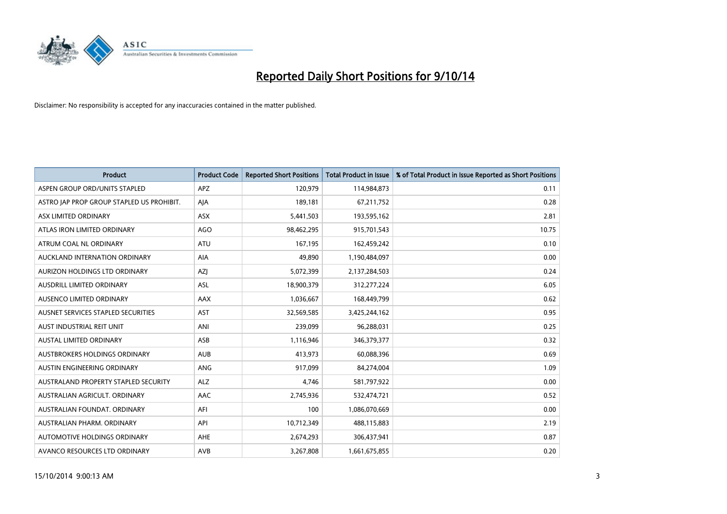

| <b>Product</b>                            | <b>Product Code</b> | <b>Reported Short Positions</b> | <b>Total Product in Issue</b> | % of Total Product in Issue Reported as Short Positions |
|-------------------------------------------|---------------------|---------------------------------|-------------------------------|---------------------------------------------------------|
| ASPEN GROUP ORD/UNITS STAPLED             | <b>APZ</b>          | 120,979                         | 114,984,873                   | 0.11                                                    |
| ASTRO JAP PROP GROUP STAPLED US PROHIBIT. | AJA                 | 189,181                         | 67,211,752                    | 0.28                                                    |
| ASX LIMITED ORDINARY                      | ASX                 | 5,441,503                       | 193,595,162                   | 2.81                                                    |
| ATLAS IRON LIMITED ORDINARY               | AGO                 | 98,462,295                      | 915,701,543                   | 10.75                                                   |
| ATRUM COAL NL ORDINARY                    | <b>ATU</b>          | 167,195                         | 162,459,242                   | 0.10                                                    |
| AUCKLAND INTERNATION ORDINARY             | <b>AIA</b>          | 49,890                          | 1,190,484,097                 | 0.00                                                    |
| AURIZON HOLDINGS LTD ORDINARY             | AZJ                 | 5,072,399                       | 2,137,284,503                 | 0.24                                                    |
| AUSDRILL LIMITED ORDINARY                 | ASL                 | 18,900,379                      | 312,277,224                   | 6.05                                                    |
| AUSENCO LIMITED ORDINARY                  | AAX                 | 1,036,667                       | 168,449,799                   | 0.62                                                    |
| AUSNET SERVICES STAPLED SECURITIES        | <b>AST</b>          | 32,569,585                      | 3,425,244,162                 | 0.95                                                    |
| AUST INDUSTRIAL REIT UNIT                 | ANI                 | 239,099                         | 96,288,031                    | 0.25                                                    |
| AUSTAL LIMITED ORDINARY                   | ASB                 | 1,116,946                       | 346,379,377                   | 0.32                                                    |
| AUSTBROKERS HOLDINGS ORDINARY             | <b>AUB</b>          | 413,973                         | 60,088,396                    | 0.69                                                    |
| AUSTIN ENGINEERING ORDINARY               | ANG                 | 917,099                         | 84,274,004                    | 1.09                                                    |
| AUSTRALAND PROPERTY STAPLED SECURITY      | <b>ALZ</b>          | 4,746                           | 581,797,922                   | 0.00                                                    |
| AUSTRALIAN AGRICULT. ORDINARY             | AAC                 | 2,745,936                       | 532,474,721                   | 0.52                                                    |
| AUSTRALIAN FOUNDAT. ORDINARY              | AFI                 | 100                             | 1,086,070,669                 | 0.00                                                    |
| AUSTRALIAN PHARM, ORDINARY                | API                 | 10,712,349                      | 488,115,883                   | 2.19                                                    |
| AUTOMOTIVE HOLDINGS ORDINARY              | AHE                 | 2,674,293                       | 306,437,941                   | 0.87                                                    |
| AVANCO RESOURCES LTD ORDINARY             | AVB                 | 3,267,808                       | 1,661,675,855                 | 0.20                                                    |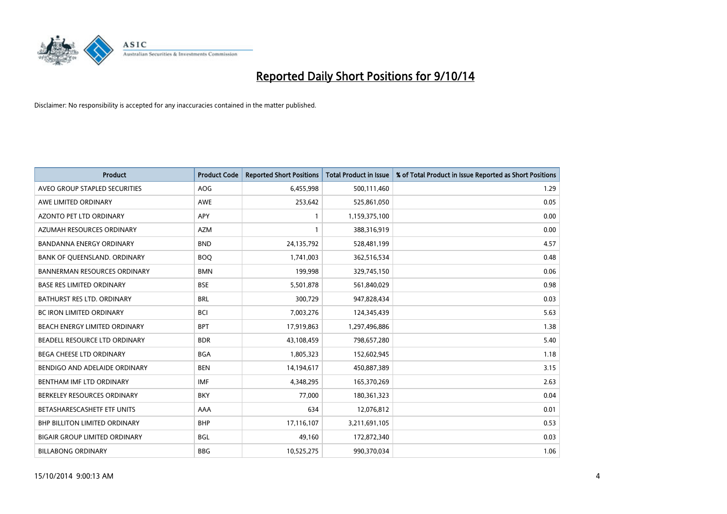

| <b>Product</b>                       | <b>Product Code</b> | <b>Reported Short Positions</b> | <b>Total Product in Issue</b> | % of Total Product in Issue Reported as Short Positions |
|--------------------------------------|---------------------|---------------------------------|-------------------------------|---------------------------------------------------------|
| AVEO GROUP STAPLED SECURITIES        | <b>AOG</b>          | 6,455,998                       | 500,111,460                   | 1.29                                                    |
| AWE LIMITED ORDINARY                 | AWE                 | 253,642                         | 525,861,050                   | 0.05                                                    |
| <b>AZONTO PET LTD ORDINARY</b>       | <b>APY</b>          | 1                               | 1,159,375,100                 | 0.00                                                    |
| AZUMAH RESOURCES ORDINARY            | <b>AZM</b>          | 1                               | 388,316,919                   | 0.00                                                    |
| <b>BANDANNA ENERGY ORDINARY</b>      | <b>BND</b>          | 24,135,792                      | 528,481,199                   | 4.57                                                    |
| BANK OF QUEENSLAND. ORDINARY         | <b>BOQ</b>          | 1,741,003                       | 362,516,534                   | 0.48                                                    |
| <b>BANNERMAN RESOURCES ORDINARY</b>  | <b>BMN</b>          | 199,998                         | 329,745,150                   | 0.06                                                    |
| <b>BASE RES LIMITED ORDINARY</b>     | <b>BSE</b>          | 5,501,878                       | 561,840,029                   | 0.98                                                    |
| BATHURST RES LTD. ORDINARY           | <b>BRL</b>          | 300,729                         | 947,828,434                   | 0.03                                                    |
| <b>BC IRON LIMITED ORDINARY</b>      | <b>BCI</b>          | 7,003,276                       | 124,345,439                   | 5.63                                                    |
| BEACH ENERGY LIMITED ORDINARY        | <b>BPT</b>          | 17,919,863                      | 1,297,496,886                 | 1.38                                                    |
| BEADELL RESOURCE LTD ORDINARY        | <b>BDR</b>          | 43,108,459                      | 798,657,280                   | 5.40                                                    |
| BEGA CHEESE LTD ORDINARY             | <b>BGA</b>          | 1,805,323                       | 152,602,945                   | 1.18                                                    |
| BENDIGO AND ADELAIDE ORDINARY        | <b>BEN</b>          | 14,194,617                      | 450,887,389                   | 3.15                                                    |
| BENTHAM IMF LTD ORDINARY             | <b>IMF</b>          | 4,348,295                       | 165,370,269                   | 2.63                                                    |
| BERKELEY RESOURCES ORDINARY          | <b>BKY</b>          | 77.000                          | 180,361,323                   | 0.04                                                    |
| BETASHARESCASHETF ETF UNITS          | AAA                 | 634                             | 12,076,812                    | 0.01                                                    |
| <b>BHP BILLITON LIMITED ORDINARY</b> | <b>BHP</b>          | 17,116,107                      | 3,211,691,105                 | 0.53                                                    |
| <b>BIGAIR GROUP LIMITED ORDINARY</b> | <b>BGL</b>          | 49,160                          | 172,872,340                   | 0.03                                                    |
| <b>BILLABONG ORDINARY</b>            | <b>BBG</b>          | 10,525,275                      | 990,370,034                   | 1.06                                                    |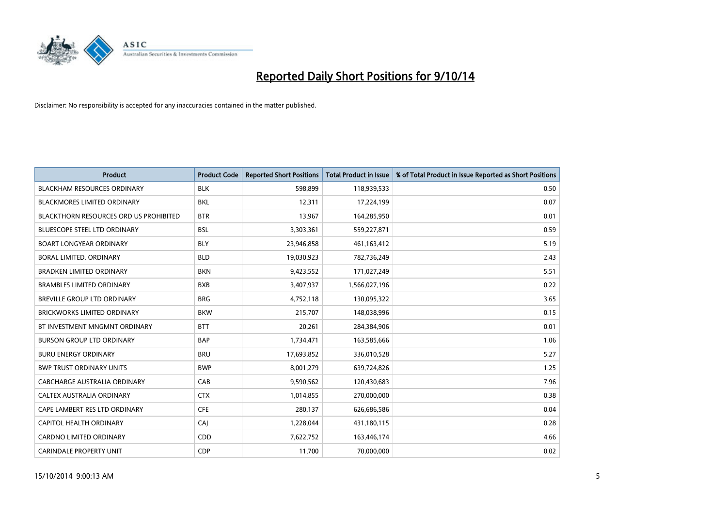

| <b>Product</b>                                | <b>Product Code</b> | <b>Reported Short Positions</b> | <b>Total Product in Issue</b> | % of Total Product in Issue Reported as Short Positions |
|-----------------------------------------------|---------------------|---------------------------------|-------------------------------|---------------------------------------------------------|
| <b>BLACKHAM RESOURCES ORDINARY</b>            | <b>BLK</b>          | 598,899                         | 118,939,533                   | 0.50                                                    |
| <b>BLACKMORES LIMITED ORDINARY</b>            | <b>BKL</b>          | 12,311                          | 17,224,199                    | 0.07                                                    |
| <b>BLACKTHORN RESOURCES ORD US PROHIBITED</b> | <b>BTR</b>          | 13,967                          | 164,285,950                   | 0.01                                                    |
| BLUESCOPE STEEL LTD ORDINARY                  | <b>BSL</b>          | 3,303,361                       | 559,227,871                   | 0.59                                                    |
| <b>BOART LONGYEAR ORDINARY</b>                | <b>BLY</b>          | 23,946,858                      | 461,163,412                   | 5.19                                                    |
| BORAL LIMITED. ORDINARY                       | <b>BLD</b>          | 19,030,923                      | 782,736,249                   | 2.43                                                    |
| <b>BRADKEN LIMITED ORDINARY</b>               | <b>BKN</b>          | 9,423,552                       | 171,027,249                   | 5.51                                                    |
| <b>BRAMBLES LIMITED ORDINARY</b>              | <b>BXB</b>          | 3,407,937                       | 1,566,027,196                 | 0.22                                                    |
| <b>BREVILLE GROUP LTD ORDINARY</b>            | <b>BRG</b>          | 4,752,118                       | 130,095,322                   | 3.65                                                    |
| <b>BRICKWORKS LIMITED ORDINARY</b>            | <b>BKW</b>          | 215,707                         | 148,038,996                   | 0.15                                                    |
| BT INVESTMENT MNGMNT ORDINARY                 | <b>BTT</b>          | 20,261                          | 284,384,906                   | 0.01                                                    |
| <b>BURSON GROUP LTD ORDINARY</b>              | <b>BAP</b>          | 1,734,471                       | 163,585,666                   | 1.06                                                    |
| <b>BURU ENERGY ORDINARY</b>                   | <b>BRU</b>          | 17,693,852                      | 336,010,528                   | 5.27                                                    |
| <b>BWP TRUST ORDINARY UNITS</b>               | <b>BWP</b>          | 8,001,279                       | 639,724,826                   | 1.25                                                    |
| CABCHARGE AUSTRALIA ORDINARY                  | CAB                 | 9,590,562                       | 120,430,683                   | 7.96                                                    |
| CALTEX AUSTRALIA ORDINARY                     | <b>CTX</b>          | 1,014,855                       | 270,000,000                   | 0.38                                                    |
| CAPE LAMBERT RES LTD ORDINARY                 | <b>CFE</b>          | 280,137                         | 626,686,586                   | 0.04                                                    |
| CAPITOL HEALTH ORDINARY                       | CAJ                 | 1,228,044                       | 431,180,115                   | 0.28                                                    |
| <b>CARDNO LIMITED ORDINARY</b>                | CDD                 | 7,622,752                       | 163,446,174                   | 4.66                                                    |
| <b>CARINDALE PROPERTY UNIT</b>                | <b>CDP</b>          | 11,700                          | 70,000,000                    | 0.02                                                    |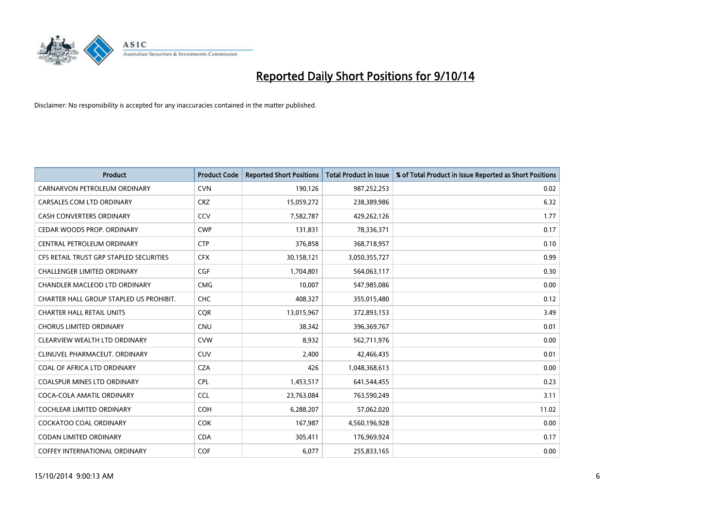

| <b>Product</b>                          | <b>Product Code</b> | <b>Reported Short Positions</b> | <b>Total Product in Issue</b> | % of Total Product in Issue Reported as Short Positions |
|-----------------------------------------|---------------------|---------------------------------|-------------------------------|---------------------------------------------------------|
| CARNARVON PETROLEUM ORDINARY            | <b>CVN</b>          | 190,126                         | 987,252,253                   | 0.02                                                    |
| CARSALES.COM LTD ORDINARY               | <b>CRZ</b>          | 15,059,272                      | 238,389,986                   | 6.32                                                    |
| <b>CASH CONVERTERS ORDINARY</b>         | CCV                 | 7,582,787                       | 429,262,126                   | 1.77                                                    |
| CEDAR WOODS PROP. ORDINARY              | <b>CWP</b>          | 131,831                         | 78,336,371                    | 0.17                                                    |
| CENTRAL PETROLEUM ORDINARY              | <b>CTP</b>          | 376,858                         | 368,718,957                   | 0.10                                                    |
| CFS RETAIL TRUST GRP STAPLED SECURITIES | <b>CFX</b>          | 30,158,121                      | 3,050,355,727                 | 0.99                                                    |
| <b>CHALLENGER LIMITED ORDINARY</b>      | <b>CGF</b>          | 1,704,801                       | 564,063,117                   | 0.30                                                    |
| CHANDLER MACLEOD LTD ORDINARY           | <b>CMG</b>          | 10,007                          | 547,985,086                   | 0.00                                                    |
| CHARTER HALL GROUP STAPLED US PROHIBIT. | <b>CHC</b>          | 408,327                         | 355,015,480                   | 0.12                                                    |
| <b>CHARTER HALL RETAIL UNITS</b>        | <b>COR</b>          | 13,015,967                      | 372,893,153                   | 3.49                                                    |
| <b>CHORUS LIMITED ORDINARY</b>          | <b>CNU</b>          | 38,342                          | 396,369,767                   | 0.01                                                    |
| CLEARVIEW WEALTH LTD ORDINARY           | <b>CVW</b>          | 8,932                           | 562,711,976                   | 0.00                                                    |
| CLINUVEL PHARMACEUT. ORDINARY           | <b>CUV</b>          | 2,400                           | 42,466,435                    | 0.01                                                    |
| COAL OF AFRICA LTD ORDINARY             | <b>CZA</b>          | 426                             | 1,048,368,613                 | 0.00                                                    |
| <b>COALSPUR MINES LTD ORDINARY</b>      | <b>CPL</b>          | 1,453,517                       | 641,544,455                   | 0.23                                                    |
| COCA-COLA AMATIL ORDINARY               | <b>CCL</b>          | 23,763,084                      | 763,590,249                   | 3.11                                                    |
| COCHLEAR LIMITED ORDINARY               | <b>COH</b>          | 6,288,207                       | 57,062,020                    | 11.02                                                   |
| <b>COCKATOO COAL ORDINARY</b>           | <b>COK</b>          | 167,987                         | 4,560,196,928                 | 0.00                                                    |
| <b>CODAN LIMITED ORDINARY</b>           | <b>CDA</b>          | 305,411                         | 176,969,924                   | 0.17                                                    |
| COFFEY INTERNATIONAL ORDINARY           | <b>COF</b>          | 6,077                           | 255,833,165                   | 0.00                                                    |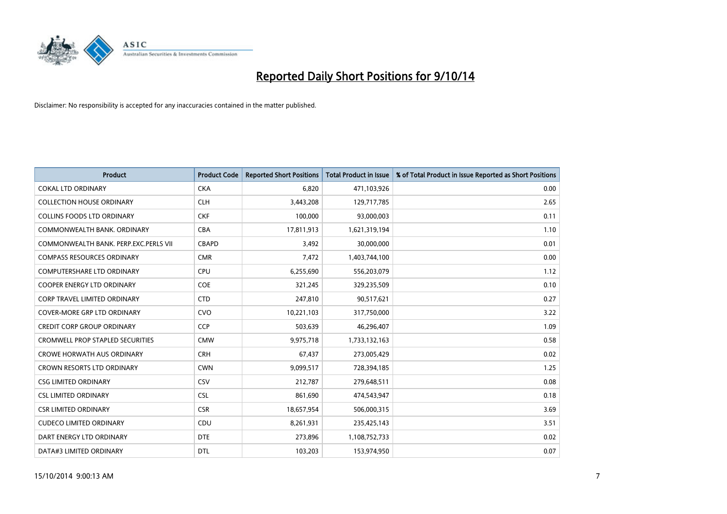

| <b>Product</b>                          | <b>Product Code</b> | <b>Reported Short Positions</b> | <b>Total Product in Issue</b> | % of Total Product in Issue Reported as Short Positions |
|-----------------------------------------|---------------------|---------------------------------|-------------------------------|---------------------------------------------------------|
| <b>COKAL LTD ORDINARY</b>               | <b>CKA</b>          | 6.820                           | 471,103,926                   | 0.00                                                    |
| <b>COLLECTION HOUSE ORDINARY</b>        | <b>CLH</b>          | 3,443,208                       | 129,717,785                   | 2.65                                                    |
| <b>COLLINS FOODS LTD ORDINARY</b>       | <b>CKF</b>          | 100,000                         | 93,000,003                    | 0.11                                                    |
| COMMONWEALTH BANK, ORDINARY             | <b>CBA</b>          | 17,811,913                      | 1,621,319,194                 | 1.10                                                    |
| COMMONWEALTH BANK, PERP.EXC.PERLS VII   | <b>CBAPD</b>        | 3,492                           | 30,000,000                    | 0.01                                                    |
| <b>COMPASS RESOURCES ORDINARY</b>       | <b>CMR</b>          | 7,472                           | 1,403,744,100                 | 0.00                                                    |
| <b>COMPUTERSHARE LTD ORDINARY</b>       | <b>CPU</b>          | 6,255,690                       | 556,203,079                   | 1.12                                                    |
| <b>COOPER ENERGY LTD ORDINARY</b>       | <b>COE</b>          | 321,245                         | 329,235,509                   | 0.10                                                    |
| <b>CORP TRAVEL LIMITED ORDINARY</b>     | <b>CTD</b>          | 247,810                         | 90,517,621                    | 0.27                                                    |
| <b>COVER-MORE GRP LTD ORDINARY</b>      | <b>CVO</b>          | 10,221,103                      | 317,750,000                   | 3.22                                                    |
| <b>CREDIT CORP GROUP ORDINARY</b>       | <b>CCP</b>          | 503,639                         | 46,296,407                    | 1.09                                                    |
| <b>CROMWELL PROP STAPLED SECURITIES</b> | <b>CMW</b>          | 9,975,718                       | 1,733,132,163                 | 0.58                                                    |
| <b>CROWE HORWATH AUS ORDINARY</b>       | <b>CRH</b>          | 67,437                          | 273,005,429                   | 0.02                                                    |
| <b>CROWN RESORTS LTD ORDINARY</b>       | <b>CWN</b>          | 9,099,517                       | 728,394,185                   | 1.25                                                    |
| <b>CSG LIMITED ORDINARY</b>             | CSV                 | 212,787                         | 279,648,511                   | 0.08                                                    |
| <b>CSL LIMITED ORDINARY</b>             | <b>CSL</b>          | 861,690                         | 474,543,947                   | 0.18                                                    |
| <b>CSR LIMITED ORDINARY</b>             | <b>CSR</b>          | 18,657,954                      | 506,000,315                   | 3.69                                                    |
| <b>CUDECO LIMITED ORDINARY</b>          | <b>CDU</b>          | 8,261,931                       | 235,425,143                   | 3.51                                                    |
| DART ENERGY LTD ORDINARY                | <b>DTE</b>          | 273,896                         | 1,108,752,733                 | 0.02                                                    |
| DATA#3 LIMITED ORDINARY                 | <b>DTL</b>          | 103,203                         | 153,974,950                   | 0.07                                                    |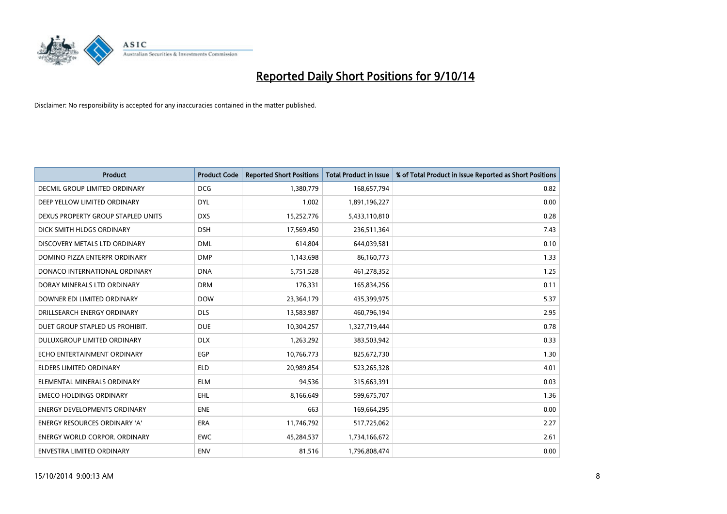

| <b>Product</b>                       | <b>Product Code</b> | <b>Reported Short Positions</b> | <b>Total Product in Issue</b> | % of Total Product in Issue Reported as Short Positions |
|--------------------------------------|---------------------|---------------------------------|-------------------------------|---------------------------------------------------------|
| <b>DECMIL GROUP LIMITED ORDINARY</b> | <b>DCG</b>          | 1,380,779                       | 168,657,794                   | 0.82                                                    |
| DEEP YELLOW LIMITED ORDINARY         | <b>DYL</b>          | 1,002                           | 1,891,196,227                 | 0.00                                                    |
| DEXUS PROPERTY GROUP STAPLED UNITS   | <b>DXS</b>          | 15,252,776                      | 5,433,110,810                 | 0.28                                                    |
| DICK SMITH HLDGS ORDINARY            | <b>DSH</b>          | 17,569,450                      | 236,511,364                   | 7.43                                                    |
| DISCOVERY METALS LTD ORDINARY        | <b>DML</b>          | 614,804                         | 644,039,581                   | 0.10                                                    |
| DOMINO PIZZA ENTERPR ORDINARY        | <b>DMP</b>          | 1,143,698                       | 86,160,773                    | 1.33                                                    |
| DONACO INTERNATIONAL ORDINARY        | <b>DNA</b>          | 5,751,528                       | 461,278,352                   | 1.25                                                    |
| DORAY MINERALS LTD ORDINARY          | <b>DRM</b>          | 176,331                         | 165,834,256                   | 0.11                                                    |
| DOWNER EDI LIMITED ORDINARY          | <b>DOW</b>          | 23,364,179                      | 435,399,975                   | 5.37                                                    |
| DRILLSEARCH ENERGY ORDINARY          | <b>DLS</b>          | 13,583,987                      | 460,796,194                   | 2.95                                                    |
| DUET GROUP STAPLED US PROHIBIT.      | <b>DUE</b>          | 10,304,257                      | 1,327,719,444                 | 0.78                                                    |
| <b>DULUXGROUP LIMITED ORDINARY</b>   | <b>DLX</b>          | 1,263,292                       | 383,503,942                   | 0.33                                                    |
| ECHO ENTERTAINMENT ORDINARY          | <b>EGP</b>          | 10,766,773                      | 825,672,730                   | 1.30                                                    |
| <b>ELDERS LIMITED ORDINARY</b>       | <b>ELD</b>          | 20,989,854                      | 523,265,328                   | 4.01                                                    |
| ELEMENTAL MINERALS ORDINARY          | <b>ELM</b>          | 94,536                          | 315,663,391                   | 0.03                                                    |
| <b>EMECO HOLDINGS ORDINARY</b>       | <b>EHL</b>          | 8,166,649                       | 599,675,707                   | 1.36                                                    |
| ENERGY DEVELOPMENTS ORDINARY         | <b>ENE</b>          | 663                             | 169,664,295                   | 0.00                                                    |
| <b>ENERGY RESOURCES ORDINARY 'A'</b> | <b>ERA</b>          | 11,746,792                      | 517,725,062                   | 2.27                                                    |
| <b>ENERGY WORLD CORPOR, ORDINARY</b> | <b>EWC</b>          | 45,284,537                      | 1,734,166,672                 | 2.61                                                    |
| ENVESTRA LIMITED ORDINARY            | ENV                 | 81,516                          | 1,796,808,474                 | 0.00                                                    |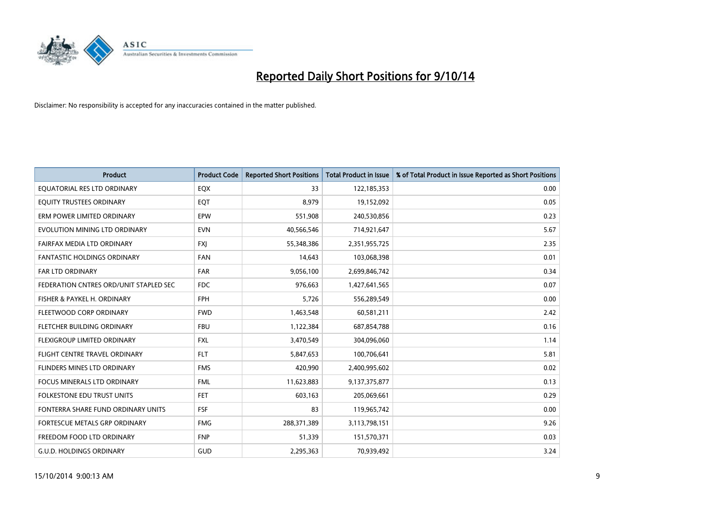

| <b>Product</b>                         | <b>Product Code</b> | <b>Reported Short Positions</b> | <b>Total Product in Issue</b> | % of Total Product in Issue Reported as Short Positions |
|----------------------------------------|---------------------|---------------------------------|-------------------------------|---------------------------------------------------------|
| EQUATORIAL RES LTD ORDINARY            | EQX                 | 33                              | 122,185,353                   | 0.00                                                    |
| EQUITY TRUSTEES ORDINARY               | EQT                 | 8,979                           | 19,152,092                    | 0.05                                                    |
| ERM POWER LIMITED ORDINARY             | <b>EPW</b>          | 551,908                         | 240,530,856                   | 0.23                                                    |
| EVOLUTION MINING LTD ORDINARY          | <b>EVN</b>          | 40,566,546                      | 714,921,647                   | 5.67                                                    |
| FAIRFAX MEDIA LTD ORDINARY             | <b>FXI</b>          | 55,348,386                      | 2,351,955,725                 | 2.35                                                    |
| <b>FANTASTIC HOLDINGS ORDINARY</b>     | <b>FAN</b>          | 14,643                          | 103,068,398                   | 0.01                                                    |
| <b>FAR LTD ORDINARY</b>                | <b>FAR</b>          | 9,056,100                       | 2,699,846,742                 | 0.34                                                    |
| FEDERATION CNTRES ORD/UNIT STAPLED SEC | <b>FDC</b>          | 976,663                         | 1,427,641,565                 | 0.07                                                    |
| FISHER & PAYKEL H. ORDINARY            | <b>FPH</b>          | 5,726                           | 556,289,549                   | 0.00                                                    |
| FLEETWOOD CORP ORDINARY                | <b>FWD</b>          | 1,463,548                       | 60,581,211                    | 2.42                                                    |
| FLETCHER BUILDING ORDINARY             | <b>FBU</b>          | 1,122,384                       | 687,854,788                   | 0.16                                                    |
| FLEXIGROUP LIMITED ORDINARY            | <b>FXL</b>          | 3,470,549                       | 304,096,060                   | 1.14                                                    |
| FLIGHT CENTRE TRAVEL ORDINARY          | <b>FLT</b>          | 5,847,653                       | 100,706,641                   | 5.81                                                    |
| FLINDERS MINES LTD ORDINARY            | <b>FMS</b>          | 420,990                         | 2,400,995,602                 | 0.02                                                    |
| <b>FOCUS MINERALS LTD ORDINARY</b>     | <b>FML</b>          | 11,623,883                      | 9,137,375,877                 | 0.13                                                    |
| FOLKESTONE EDU TRUST UNITS             | FET                 | 603,163                         | 205,069,661                   | 0.29                                                    |
| FONTERRA SHARE FUND ORDINARY UNITS     | <b>FSF</b>          | 83                              | 119,965,742                   | 0.00                                                    |
| FORTESCUE METALS GRP ORDINARY          | <b>FMG</b>          | 288,371,389                     | 3,113,798,151                 | 9.26                                                    |
| FREEDOM FOOD LTD ORDINARY              | <b>FNP</b>          | 51,339                          | 151,570,371                   | 0.03                                                    |
| <b>G.U.D. HOLDINGS ORDINARY</b>        | GUD                 | 2,295,363                       | 70,939,492                    | 3.24                                                    |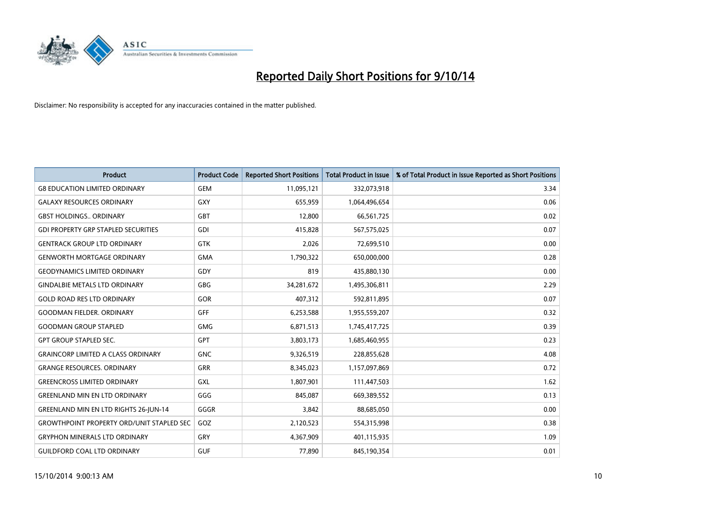

| <b>Product</b>                                   | <b>Product Code</b> | <b>Reported Short Positions</b> | <b>Total Product in Issue</b> | % of Total Product in Issue Reported as Short Positions |
|--------------------------------------------------|---------------------|---------------------------------|-------------------------------|---------------------------------------------------------|
| <b>G8 EDUCATION LIMITED ORDINARY</b>             | <b>GEM</b>          | 11,095,121                      | 332,073,918                   | 3.34                                                    |
| <b>GALAXY RESOURCES ORDINARY</b>                 | <b>GXY</b>          | 655,959                         | 1,064,496,654                 | 0.06                                                    |
| <b>GBST HOLDINGS ORDINARY</b>                    | <b>GBT</b>          | 12,800                          | 66,561,725                    | 0.02                                                    |
| <b>GDI PROPERTY GRP STAPLED SECURITIES</b>       | <b>GDI</b>          | 415,828                         | 567,575,025                   | 0.07                                                    |
| <b>GENTRACK GROUP LTD ORDINARY</b>               | <b>GTK</b>          | 2,026                           | 72,699,510                    | 0.00                                                    |
| <b>GENWORTH MORTGAGE ORDINARY</b>                | <b>GMA</b>          | 1,790,322                       | 650,000,000                   | 0.28                                                    |
| <b>GEODYNAMICS LIMITED ORDINARY</b>              | GDY                 | 819                             | 435,880,130                   | 0.00                                                    |
| <b>GINDALBIE METALS LTD ORDINARY</b>             | <b>GBG</b>          | 34,281,672                      | 1,495,306,811                 | 2.29                                                    |
| <b>GOLD ROAD RES LTD ORDINARY</b>                | <b>GOR</b>          | 407,312                         | 592,811,895                   | 0.07                                                    |
| <b>GOODMAN FIELDER, ORDINARY</b>                 | <b>GFF</b>          | 6,253,588                       | 1,955,559,207                 | 0.32                                                    |
| <b>GOODMAN GROUP STAPLED</b>                     | <b>GMG</b>          | 6,871,513                       | 1,745,417,725                 | 0.39                                                    |
| <b>GPT GROUP STAPLED SEC.</b>                    | GPT                 | 3,803,173                       | 1,685,460,955                 | 0.23                                                    |
| <b>GRAINCORP LIMITED A CLASS ORDINARY</b>        | <b>GNC</b>          | 9,326,519                       | 228,855,628                   | 4.08                                                    |
| <b>GRANGE RESOURCES, ORDINARY</b>                | <b>GRR</b>          | 8,345,023                       | 1,157,097,869                 | 0.72                                                    |
| <b>GREENCROSS LIMITED ORDINARY</b>               | <b>GXL</b>          | 1,807,901                       | 111,447,503                   | 1.62                                                    |
| <b>GREENLAND MIN EN LTD ORDINARY</b>             | GGG                 | 845,087                         | 669,389,552                   | 0.13                                                    |
| <b>GREENLAND MIN EN LTD RIGHTS 26-JUN-14</b>     | GGGR                | 3,842                           | 88,685,050                    | 0.00                                                    |
| <b>GROWTHPOINT PROPERTY ORD/UNIT STAPLED SEC</b> | GOZ                 | 2,120,523                       | 554,315,998                   | 0.38                                                    |
| <b>GRYPHON MINERALS LTD ORDINARY</b>             | GRY                 | 4,367,909                       | 401,115,935                   | 1.09                                                    |
| <b>GUILDFORD COAL LTD ORDINARY</b>               | <b>GUF</b>          | 77,890                          | 845,190,354                   | 0.01                                                    |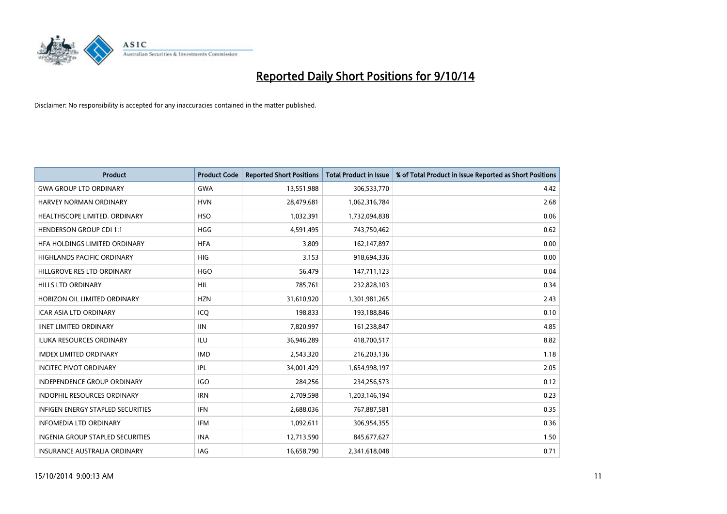

| <b>Product</b>                           | <b>Product Code</b> | <b>Reported Short Positions</b> | <b>Total Product in Issue</b> | % of Total Product in Issue Reported as Short Positions |
|------------------------------------------|---------------------|---------------------------------|-------------------------------|---------------------------------------------------------|
| <b>GWA GROUP LTD ORDINARY</b>            | <b>GWA</b>          | 13,551,988                      | 306,533,770                   | 4.42                                                    |
| HARVEY NORMAN ORDINARY                   | <b>HVN</b>          | 28,479,681                      | 1,062,316,784                 | 2.68                                                    |
| HEALTHSCOPE LIMITED. ORDINARY            | <b>HSO</b>          | 1,032,391                       | 1,732,094,838                 | 0.06                                                    |
| <b>HENDERSON GROUP CDI 1:1</b>           | HGG                 | 4,591,495                       | 743,750,462                   | 0.62                                                    |
| HEA HOLDINGS LIMITED ORDINARY            | <b>HFA</b>          | 3,809                           | 162,147,897                   | 0.00                                                    |
| <b>HIGHLANDS PACIFIC ORDINARY</b>        | <b>HIG</b>          | 3,153                           | 918,694,336                   | 0.00                                                    |
| HILLGROVE RES LTD ORDINARY               | <b>HGO</b>          | 56,479                          | 147,711,123                   | 0.04                                                    |
| <b>HILLS LTD ORDINARY</b>                | HIL                 | 785,761                         | 232,828,103                   | 0.34                                                    |
| HORIZON OIL LIMITED ORDINARY             | <b>HZN</b>          | 31,610,920                      | 1,301,981,265                 | 2.43                                                    |
| <b>ICAR ASIA LTD ORDINARY</b>            | ICQ                 | 198,833                         | 193,188,846                   | 0.10                                                    |
| <b>IINET LIMITED ORDINARY</b>            | <b>IIN</b>          | 7,820,997                       | 161,238,847                   | 4.85                                                    |
| <b>ILUKA RESOURCES ORDINARY</b>          | ILU                 | 36,946,289                      | 418,700,517                   | 8.82                                                    |
| <b>IMDEX LIMITED ORDINARY</b>            | <b>IMD</b>          | 2,543,320                       | 216,203,136                   | 1.18                                                    |
| <b>INCITEC PIVOT ORDINARY</b>            | IPL                 | 34,001,429                      | 1,654,998,197                 | 2.05                                                    |
| INDEPENDENCE GROUP ORDINARY              | <b>IGO</b>          | 284,256                         | 234,256,573                   | 0.12                                                    |
| <b>INDOPHIL RESOURCES ORDINARY</b>       | <b>IRN</b>          | 2,709,598                       | 1,203,146,194                 | 0.23                                                    |
| <b>INFIGEN ENERGY STAPLED SECURITIES</b> | <b>IFN</b>          | 2,688,036                       | 767,887,581                   | 0.35                                                    |
| <b>INFOMEDIA LTD ORDINARY</b>            | <b>IFM</b>          | 1,092,611                       | 306,954,355                   | 0.36                                                    |
| <b>INGENIA GROUP STAPLED SECURITIES</b>  | <b>INA</b>          | 12,713,590                      | 845,677,627                   | 1.50                                                    |
| INSURANCE AUSTRALIA ORDINARY             | IAG                 | 16,658,790                      | 2,341,618,048                 | 0.71                                                    |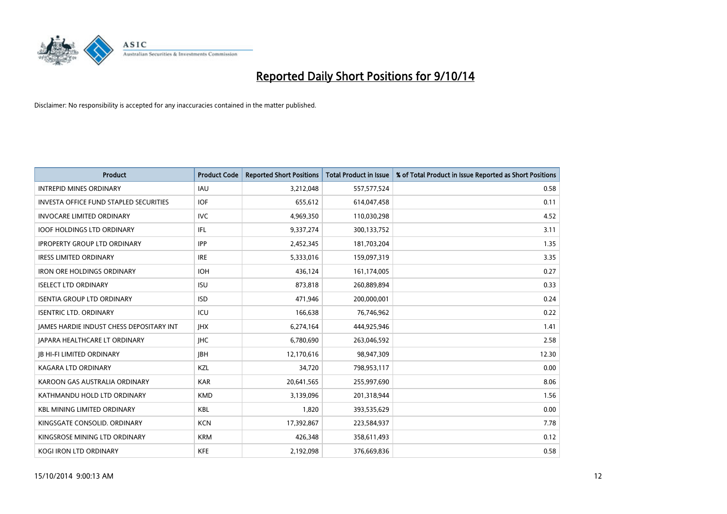

| <b>Product</b>                                  | <b>Product Code</b> | <b>Reported Short Positions</b> | <b>Total Product in Issue</b> | % of Total Product in Issue Reported as Short Positions |
|-------------------------------------------------|---------------------|---------------------------------|-------------------------------|---------------------------------------------------------|
| <b>INTREPID MINES ORDINARY</b>                  | <b>IAU</b>          | 3,212,048                       | 557,577,524                   | 0.58                                                    |
| <b>INVESTA OFFICE FUND STAPLED SECURITIES</b>   | <b>IOF</b>          | 655,612                         | 614,047,458                   | 0.11                                                    |
| <b>INVOCARE LIMITED ORDINARY</b>                | <b>IVC</b>          | 4,969,350                       | 110,030,298                   | 4.52                                                    |
| <b>IOOF HOLDINGS LTD ORDINARY</b>               | IFL                 | 9,337,274                       | 300,133,752                   | 3.11                                                    |
| <b>IPROPERTY GROUP LTD ORDINARY</b>             | <b>IPP</b>          | 2,452,345                       | 181,703,204                   | 1.35                                                    |
| <b>IRESS LIMITED ORDINARY</b>                   | <b>IRE</b>          | 5,333,016                       | 159,097,319                   | 3.35                                                    |
| <b>IRON ORE HOLDINGS ORDINARY</b>               | <b>IOH</b>          | 436,124                         | 161,174,005                   | 0.27                                                    |
| <b>ISELECT LTD ORDINARY</b>                     | <b>ISU</b>          | 873,818                         | 260,889,894                   | 0.33                                                    |
| <b>ISENTIA GROUP LTD ORDINARY</b>               | <b>ISD</b>          | 471,946                         | 200,000,001                   | 0.24                                                    |
| <b>ISENTRIC LTD. ORDINARY</b>                   | ICU                 | 166,638                         | 76,746,962                    | 0.22                                                    |
| <b>JAMES HARDIE INDUST CHESS DEPOSITARY INT</b> | <b>IHX</b>          | 6,274,164                       | 444,925,946                   | 1.41                                                    |
| JAPARA HEALTHCARE LT ORDINARY                   | <b>IHC</b>          | 6,780,690                       | 263,046,592                   | 2.58                                                    |
| <b>JB HI-FI LIMITED ORDINARY</b>                | <b>IBH</b>          | 12,170,616                      | 98,947,309                    | 12.30                                                   |
| <b>KAGARA LTD ORDINARY</b>                      | <b>KZL</b>          | 34,720                          | 798,953,117                   | 0.00                                                    |
| KAROON GAS AUSTRALIA ORDINARY                   | <b>KAR</b>          | 20,641,565                      | 255,997,690                   | 8.06                                                    |
| KATHMANDU HOLD LTD ORDINARY                     | <b>KMD</b>          | 3,139,096                       | 201,318,944                   | 1.56                                                    |
| <b>KBL MINING LIMITED ORDINARY</b>              | KBL                 | 1,820                           | 393,535,629                   | 0.00                                                    |
| KINGSGATE CONSOLID. ORDINARY                    | <b>KCN</b>          | 17,392,867                      | 223,584,937                   | 7.78                                                    |
| KINGSROSE MINING LTD ORDINARY                   | <b>KRM</b>          | 426,348                         | 358,611,493                   | 0.12                                                    |
| <b>KOGI IRON LTD ORDINARY</b>                   | <b>KFE</b>          | 2,192,098                       | 376,669,836                   | 0.58                                                    |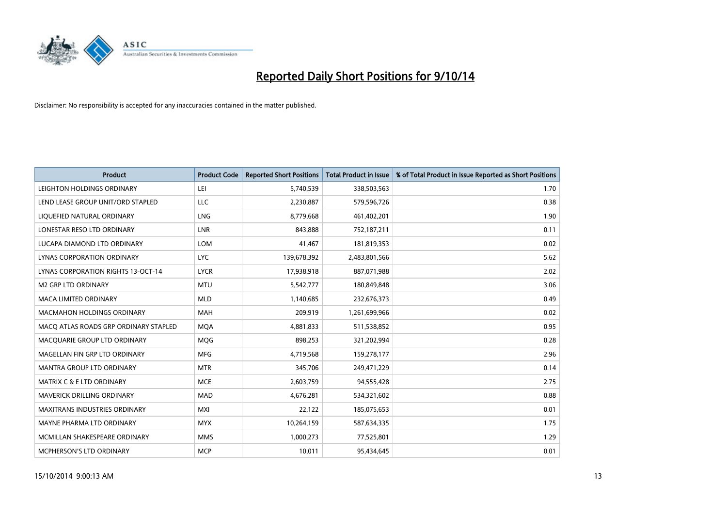

| <b>Product</b>                            | <b>Product Code</b> | <b>Reported Short Positions</b> | <b>Total Product in Issue</b> | % of Total Product in Issue Reported as Short Positions |
|-------------------------------------------|---------------------|---------------------------------|-------------------------------|---------------------------------------------------------|
| LEIGHTON HOLDINGS ORDINARY                | LEI                 | 5,740,539                       | 338,503,563                   | 1.70                                                    |
| LEND LEASE GROUP UNIT/ORD STAPLED         | LLC                 | 2,230,887                       | 579,596,726                   | 0.38                                                    |
| LIQUEFIED NATURAL ORDINARY                | <b>LNG</b>          | 8,779,668                       | 461,402,201                   | 1.90                                                    |
| LONESTAR RESO LTD ORDINARY                | <b>LNR</b>          | 843,888                         | 752,187,211                   | 0.11                                                    |
| LUCAPA DIAMOND LTD ORDINARY               | LOM                 | 41,467                          | 181,819,353                   | 0.02                                                    |
| LYNAS CORPORATION ORDINARY                | <b>LYC</b>          | 139,678,392                     | 2,483,801,566                 | 5.62                                                    |
| <b>LYNAS CORPORATION RIGHTS 13-OCT-14</b> | <b>LYCR</b>         | 17,938,918                      | 887,071,988                   | 2.02                                                    |
| <b>M2 GRP LTD ORDINARY</b>                | <b>MTU</b>          | 5,542,777                       | 180,849,848                   | 3.06                                                    |
| <b>MACA LIMITED ORDINARY</b>              | <b>MLD</b>          | 1,140,685                       | 232,676,373                   | 0.49                                                    |
| <b>MACMAHON HOLDINGS ORDINARY</b>         | <b>MAH</b>          | 209,919                         | 1,261,699,966                 | 0.02                                                    |
| MACO ATLAS ROADS GRP ORDINARY STAPLED     | <b>MQA</b>          | 4,881,833                       | 511,538,852                   | 0.95                                                    |
| MACQUARIE GROUP LTD ORDINARY              | <b>MOG</b>          | 898,253                         | 321,202,994                   | 0.28                                                    |
| MAGELLAN FIN GRP LTD ORDINARY             | <b>MFG</b>          | 4,719,568                       | 159,278,177                   | 2.96                                                    |
| <b>MANTRA GROUP LTD ORDINARY</b>          | <b>MTR</b>          | 345,706                         | 249,471,229                   | 0.14                                                    |
| <b>MATRIX C &amp; E LTD ORDINARY</b>      | <b>MCE</b>          | 2,603,759                       | 94,555,428                    | 2.75                                                    |
| MAVERICK DRILLING ORDINARY                | <b>MAD</b>          | 4,676,281                       | 534,321,602                   | 0.88                                                    |
| MAXITRANS INDUSTRIES ORDINARY             | MXI                 | 22,122                          | 185,075,653                   | 0.01                                                    |
| MAYNE PHARMA LTD ORDINARY                 | <b>MYX</b>          | 10,264,159                      | 587,634,335                   | 1.75                                                    |
| MCMILLAN SHAKESPEARE ORDINARY             | <b>MMS</b>          | 1,000,273                       | 77,525,801                    | 1.29                                                    |
| MCPHERSON'S LTD ORDINARY                  | <b>MCP</b>          | 10,011                          | 95,434,645                    | 0.01                                                    |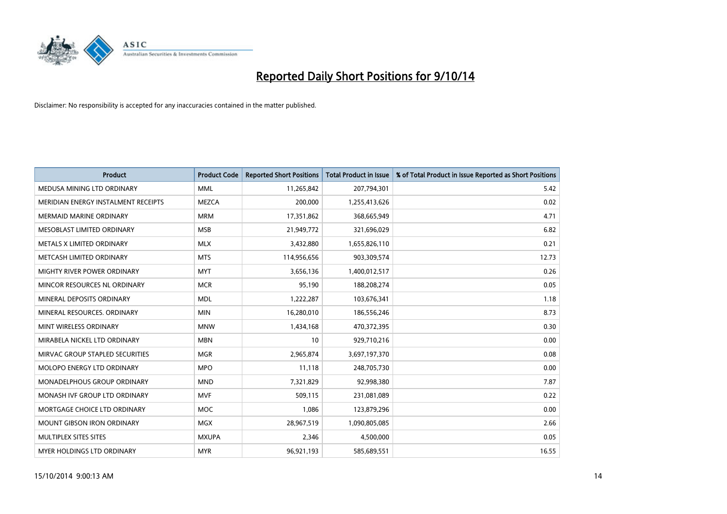

| <b>Product</b>                      | <b>Product Code</b> | <b>Reported Short Positions</b> | <b>Total Product in Issue</b> | % of Total Product in Issue Reported as Short Positions |
|-------------------------------------|---------------------|---------------------------------|-------------------------------|---------------------------------------------------------|
| MEDUSA MINING LTD ORDINARY          | <b>MML</b>          | 11,265,842                      | 207,794,301                   | 5.42                                                    |
| MERIDIAN ENERGY INSTALMENT RECEIPTS | <b>MEZCA</b>        | 200,000                         | 1,255,413,626                 | 0.02                                                    |
| MERMAID MARINE ORDINARY             | <b>MRM</b>          | 17,351,862                      | 368,665,949                   | 4.71                                                    |
| MESOBLAST LIMITED ORDINARY          | <b>MSB</b>          | 21,949,772                      | 321,696,029                   | 6.82                                                    |
| METALS X LIMITED ORDINARY           | <b>MLX</b>          | 3,432,880                       | 1,655,826,110                 | 0.21                                                    |
| METCASH LIMITED ORDINARY            | <b>MTS</b>          | 114,956,656                     | 903,309,574                   | 12.73                                                   |
| MIGHTY RIVER POWER ORDINARY         | <b>MYT</b>          | 3,656,136                       | 1,400,012,517                 | 0.26                                                    |
| MINCOR RESOURCES NL ORDINARY        | <b>MCR</b>          | 95,190                          | 188,208,274                   | 0.05                                                    |
| MINERAL DEPOSITS ORDINARY           | <b>MDL</b>          | 1,222,287                       | 103,676,341                   | 1.18                                                    |
| MINERAL RESOURCES, ORDINARY         | <b>MIN</b>          | 16,280,010                      | 186,556,246                   | 8.73                                                    |
| MINT WIRELESS ORDINARY              | <b>MNW</b>          | 1,434,168                       | 470,372,395                   | 0.30                                                    |
| MIRABELA NICKEL LTD ORDINARY        | <b>MBN</b>          | 10                              | 929,710,216                   | 0.00                                                    |
| MIRVAC GROUP STAPLED SECURITIES     | <b>MGR</b>          | 2,965,874                       | 3,697,197,370                 | 0.08                                                    |
| MOLOPO ENERGY LTD ORDINARY          | <b>MPO</b>          | 11.118                          | 248,705,730                   | 0.00                                                    |
| MONADELPHOUS GROUP ORDINARY         | <b>MND</b>          | 7,321,829                       | 92,998,380                    | 7.87                                                    |
| MONASH IVF GROUP LTD ORDINARY       | <b>MVF</b>          | 509,115                         | 231,081,089                   | 0.22                                                    |
| MORTGAGE CHOICE LTD ORDINARY        | <b>MOC</b>          | 1,086                           | 123,879,296                   | 0.00                                                    |
| <b>MOUNT GIBSON IRON ORDINARY</b>   | <b>MGX</b>          | 28,967,519                      | 1,090,805,085                 | 2.66                                                    |
| MULTIPLEX SITES SITES               | <b>MXUPA</b>        | 2,346                           | 4,500,000                     | 0.05                                                    |
| MYER HOLDINGS LTD ORDINARY          | <b>MYR</b>          | 96,921,193                      | 585,689,551                   | 16.55                                                   |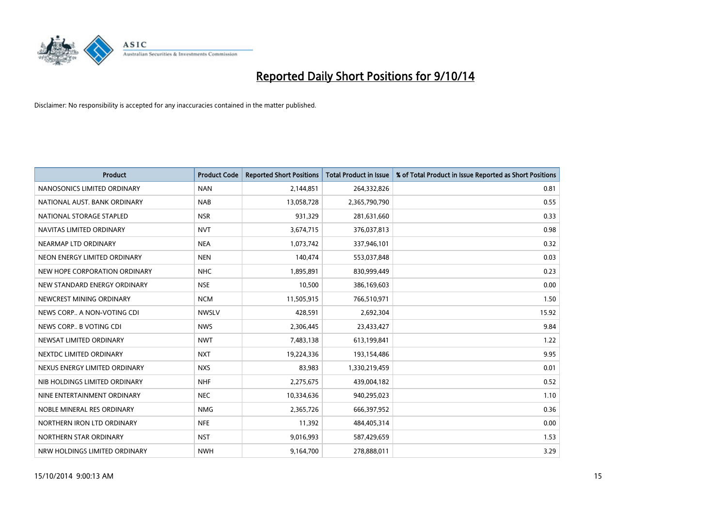

| <b>Product</b>                | <b>Product Code</b> | <b>Reported Short Positions</b> | <b>Total Product in Issue</b> | % of Total Product in Issue Reported as Short Positions |
|-------------------------------|---------------------|---------------------------------|-------------------------------|---------------------------------------------------------|
| NANOSONICS LIMITED ORDINARY   | <b>NAN</b>          | 2,144,851                       | 264,332,826                   | 0.81                                                    |
| NATIONAL AUST. BANK ORDINARY  | <b>NAB</b>          | 13,058,728                      | 2,365,790,790                 | 0.55                                                    |
| NATIONAL STORAGE STAPLED      | <b>NSR</b>          | 931,329                         | 281,631,660                   | 0.33                                                    |
| NAVITAS LIMITED ORDINARY      | <b>NVT</b>          | 3,674,715                       | 376,037,813                   | 0.98                                                    |
| NEARMAP LTD ORDINARY          | <b>NEA</b>          | 1,073,742                       | 337,946,101                   | 0.32                                                    |
| NEON ENERGY LIMITED ORDINARY  | <b>NEN</b>          | 140,474                         | 553,037,848                   | 0.03                                                    |
| NEW HOPE CORPORATION ORDINARY | <b>NHC</b>          | 1,895,891                       | 830,999,449                   | 0.23                                                    |
| NEW STANDARD ENERGY ORDINARY  | <b>NSE</b>          | 10,500                          | 386,169,603                   | 0.00                                                    |
| NEWCREST MINING ORDINARY      | <b>NCM</b>          | 11,505,915                      | 766,510,971                   | 1.50                                                    |
| NEWS CORP A NON-VOTING CDI    | <b>NWSLV</b>        | 428,591                         | 2,692,304                     | 15.92                                                   |
| NEWS CORP B VOTING CDI        | <b>NWS</b>          | 2,306,445                       | 23,433,427                    | 9.84                                                    |
| NEWSAT LIMITED ORDINARY       | <b>NWT</b>          | 7,483,138                       | 613,199,841                   | 1.22                                                    |
| NEXTDC LIMITED ORDINARY       | <b>NXT</b>          | 19,224,336                      | 193,154,486                   | 9.95                                                    |
| NEXUS ENERGY LIMITED ORDINARY | <b>NXS</b>          | 83,983                          | 1,330,219,459                 | 0.01                                                    |
| NIB HOLDINGS LIMITED ORDINARY | <b>NHF</b>          | 2,275,675                       | 439,004,182                   | 0.52                                                    |
| NINE ENTERTAINMENT ORDINARY   | <b>NEC</b>          | 10,334,636                      | 940,295,023                   | 1.10                                                    |
| NOBLE MINERAL RES ORDINARY    | <b>NMG</b>          | 2,365,726                       | 666,397,952                   | 0.36                                                    |
| NORTHERN IRON LTD ORDINARY    | <b>NFE</b>          | 11,392                          | 484,405,314                   | 0.00                                                    |
| NORTHERN STAR ORDINARY        | <b>NST</b>          | 9,016,993                       | 587,429,659                   | 1.53                                                    |
| NRW HOLDINGS LIMITED ORDINARY | <b>NWH</b>          | 9,164,700                       | 278,888,011                   | 3.29                                                    |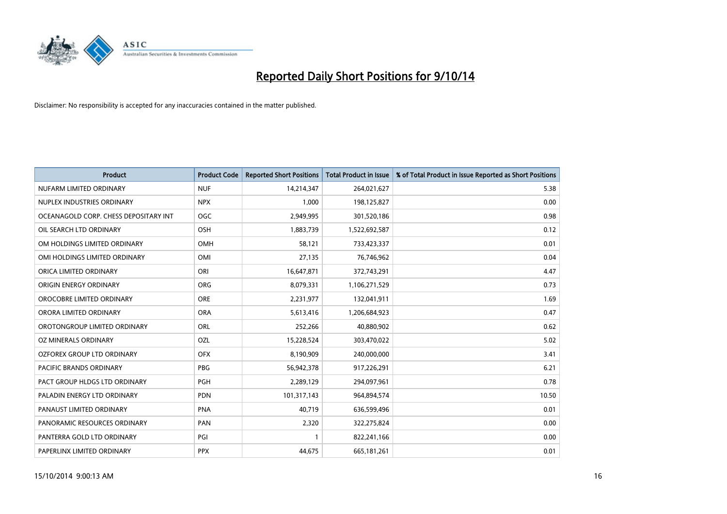

| <b>Product</b>                        | <b>Product Code</b> | <b>Reported Short Positions</b> | <b>Total Product in Issue</b> | % of Total Product in Issue Reported as Short Positions |
|---------------------------------------|---------------------|---------------------------------|-------------------------------|---------------------------------------------------------|
| NUFARM LIMITED ORDINARY               | <b>NUF</b>          | 14,214,347                      | 264,021,627                   | 5.38                                                    |
| NUPLEX INDUSTRIES ORDINARY            | <b>NPX</b>          | 1.000                           | 198,125,827                   | 0.00                                                    |
| OCEANAGOLD CORP. CHESS DEPOSITARY INT | <b>OGC</b>          | 2,949,995                       | 301,520,186                   | 0.98                                                    |
| OIL SEARCH LTD ORDINARY               | OSH                 | 1,883,739                       | 1,522,692,587                 | 0.12                                                    |
| OM HOLDINGS LIMITED ORDINARY          | <b>OMH</b>          | 58,121                          | 733,423,337                   | 0.01                                                    |
| OMI HOLDINGS LIMITED ORDINARY         | OMI                 | 27,135                          | 76,746,962                    | 0.04                                                    |
| ORICA LIMITED ORDINARY                | ORI                 | 16,647,871                      | 372,743,291                   | 4.47                                                    |
| ORIGIN ENERGY ORDINARY                | <b>ORG</b>          | 8,079,331                       | 1,106,271,529                 | 0.73                                                    |
| OROCOBRE LIMITED ORDINARY             | <b>ORE</b>          | 2,231,977                       | 132,041,911                   | 1.69                                                    |
| ORORA LIMITED ORDINARY                | <b>ORA</b>          | 5,613,416                       | 1,206,684,923                 | 0.47                                                    |
| OROTONGROUP LIMITED ORDINARY          | ORL                 | 252,266                         | 40,880,902                    | 0.62                                                    |
| OZ MINERALS ORDINARY                  | OZL                 | 15,228,524                      | 303,470,022                   | 5.02                                                    |
| OZFOREX GROUP LTD ORDINARY            | <b>OFX</b>          | 8,190,909                       | 240,000,000                   | 3.41                                                    |
| <b>PACIFIC BRANDS ORDINARY</b>        | <b>PBG</b>          | 56,942,378                      | 917,226,291                   | 6.21                                                    |
| PACT GROUP HLDGS LTD ORDINARY         | <b>PGH</b>          | 2,289,129                       | 294,097,961                   | 0.78                                                    |
| PALADIN ENERGY LTD ORDINARY           | <b>PDN</b>          | 101,317,143                     | 964,894,574                   | 10.50                                                   |
| PANAUST LIMITED ORDINARY              | <b>PNA</b>          | 40,719                          | 636,599,496                   | 0.01                                                    |
| PANORAMIC RESOURCES ORDINARY          | PAN                 | 2,320                           | 322,275,824                   | 0.00                                                    |
| PANTERRA GOLD LTD ORDINARY            | PGI                 | $\mathbf{1}$                    | 822,241,166                   | 0.00                                                    |
| PAPERLINX LIMITED ORDINARY            | <b>PPX</b>          | 44,675                          | 665, 181, 261                 | 0.01                                                    |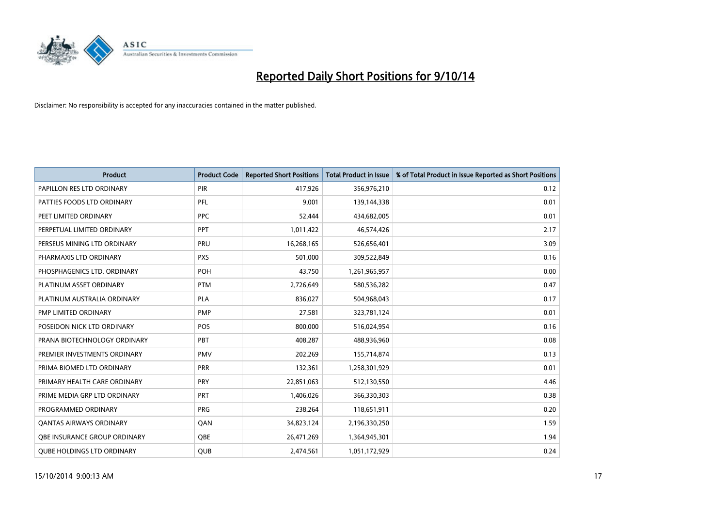

| <b>Product</b>                    | <b>Product Code</b> | <b>Reported Short Positions</b> | <b>Total Product in Issue</b> | % of Total Product in Issue Reported as Short Positions |
|-----------------------------------|---------------------|---------------------------------|-------------------------------|---------------------------------------------------------|
| PAPILLON RES LTD ORDINARY         | PIR                 | 417,926                         | 356,976,210                   | 0.12                                                    |
| PATTIES FOODS LTD ORDINARY        | <b>PFL</b>          | 9,001                           | 139,144,338                   | 0.01                                                    |
| PEET LIMITED ORDINARY             | <b>PPC</b>          | 52,444                          | 434,682,005                   | 0.01                                                    |
| PERPETUAL LIMITED ORDINARY        | <b>PPT</b>          | 1,011,422                       | 46,574,426                    | 2.17                                                    |
| PERSEUS MINING LTD ORDINARY       | PRU                 | 16,268,165                      | 526,656,401                   | 3.09                                                    |
| PHARMAXIS LTD ORDINARY            | <b>PXS</b>          | 501,000                         | 309,522,849                   | 0.16                                                    |
| PHOSPHAGENICS LTD. ORDINARY       | <b>POH</b>          | 43,750                          | 1,261,965,957                 | 0.00                                                    |
| PLATINUM ASSET ORDINARY           | <b>PTM</b>          | 2,726,649                       | 580,536,282                   | 0.47                                                    |
| PLATINUM AUSTRALIA ORDINARY       | <b>PLA</b>          | 836,027                         | 504,968,043                   | 0.17                                                    |
| PMP LIMITED ORDINARY              | <b>PMP</b>          | 27,581                          | 323,781,124                   | 0.01                                                    |
| POSEIDON NICK LTD ORDINARY        | <b>POS</b>          | 800,000                         | 516,024,954                   | 0.16                                                    |
| PRANA BIOTECHNOLOGY ORDINARY      | PBT                 | 408,287                         | 488,936,960                   | 0.08                                                    |
| PREMIER INVESTMENTS ORDINARY      | <b>PMV</b>          | 202,269                         | 155,714,874                   | 0.13                                                    |
| PRIMA BIOMED LTD ORDINARY         | <b>PRR</b>          | 132,361                         | 1,258,301,929                 | 0.01                                                    |
| PRIMARY HEALTH CARE ORDINARY      | <b>PRY</b>          | 22,851,063                      | 512,130,550                   | 4.46                                                    |
| PRIME MEDIA GRP LTD ORDINARY      | PRT                 | 1,406,026                       | 366,330,303                   | 0.38                                                    |
| PROGRAMMED ORDINARY               | <b>PRG</b>          | 238,264                         | 118,651,911                   | 0.20                                                    |
| <b>QANTAS AIRWAYS ORDINARY</b>    | QAN                 | 34,823,124                      | 2,196,330,250                 | 1.59                                                    |
| OBE INSURANCE GROUP ORDINARY      | <b>OBE</b>          | 26,471,269                      | 1,364,945,301                 | 1.94                                                    |
| <b>QUBE HOLDINGS LTD ORDINARY</b> | <b>QUB</b>          | 2,474,561                       | 1,051,172,929                 | 0.24                                                    |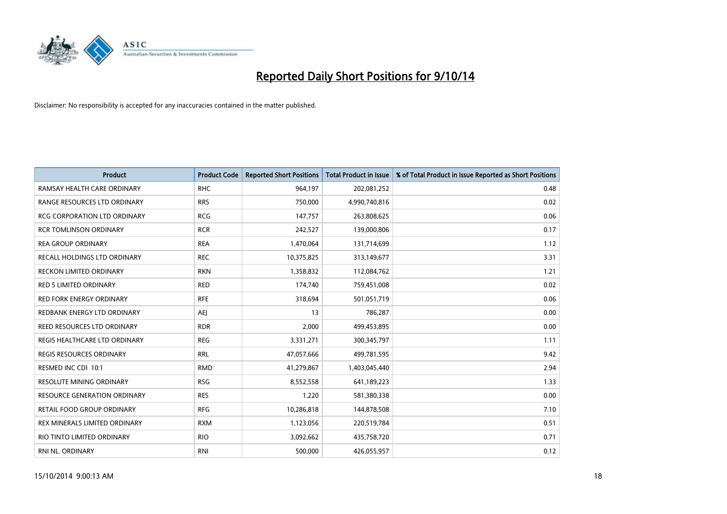

| <b>Product</b>                      | <b>Product Code</b> | <b>Reported Short Positions</b> | <b>Total Product in Issue</b> | % of Total Product in Issue Reported as Short Positions |
|-------------------------------------|---------------------|---------------------------------|-------------------------------|---------------------------------------------------------|
| RAMSAY HEALTH CARE ORDINARY         | <b>RHC</b>          | 964,197                         | 202,081,252                   | 0.48                                                    |
| RANGE RESOURCES LTD ORDINARY        | <b>RRS</b>          | 750,000                         | 4,990,740,816                 | 0.02                                                    |
| <b>RCG CORPORATION LTD ORDINARY</b> | <b>RCG</b>          | 147,757                         | 263,808,625                   | 0.06                                                    |
| <b>RCR TOMLINSON ORDINARY</b>       | <b>RCR</b>          | 242,527                         | 139,000,806                   | 0.17                                                    |
| <b>REA GROUP ORDINARY</b>           | <b>REA</b>          | 1,470,064                       | 131,714,699                   | 1.12                                                    |
| RECALL HOLDINGS LTD ORDINARY        | <b>REC</b>          | 10,375,825                      | 313,149,677                   | 3.31                                                    |
| <b>RECKON LIMITED ORDINARY</b>      | <b>RKN</b>          | 1,358,832                       | 112,084,762                   | 1.21                                                    |
| RED 5 LIMITED ORDINARY              | <b>RED</b>          | 174,740                         | 759,451,008                   | 0.02                                                    |
| <b>RED FORK ENERGY ORDINARY</b>     | <b>RFE</b>          | 318,694                         | 501,051,719                   | 0.06                                                    |
| REDBANK ENERGY LTD ORDINARY         | AEJ                 | 13                              | 786,287                       | 0.00                                                    |
| REED RESOURCES LTD ORDINARY         | <b>RDR</b>          | 2,000                           | 499,453,895                   | 0.00                                                    |
| REGIS HEALTHCARE LTD ORDINARY       | <b>REG</b>          | 3,331,271                       | 300,345,797                   | 1.11                                                    |
| REGIS RESOURCES ORDINARY            | <b>RRL</b>          | 47,057,666                      | 499,781,595                   | 9.42                                                    |
| RESMED INC CDI 10:1                 | <b>RMD</b>          | 41,279,867                      | 1,403,045,440                 | 2.94                                                    |
| <b>RESOLUTE MINING ORDINARY</b>     | <b>RSG</b>          | 8,552,558                       | 641,189,223                   | 1.33                                                    |
| <b>RESOURCE GENERATION ORDINARY</b> | <b>RES</b>          | 1,220                           | 581,380,338                   | 0.00                                                    |
| RETAIL FOOD GROUP ORDINARY          | <b>RFG</b>          | 10,286,818                      | 144,878,508                   | 7.10                                                    |
| REX MINERALS LIMITED ORDINARY       | <b>RXM</b>          | 1,123,056                       | 220,519,784                   | 0.51                                                    |
| RIO TINTO LIMITED ORDINARY          | <b>RIO</b>          | 3,092,662                       | 435,758,720                   | 0.71                                                    |
| RNI NL. ORDINARY                    | <b>RNI</b>          | 500,000                         | 426,055,957                   | 0.12                                                    |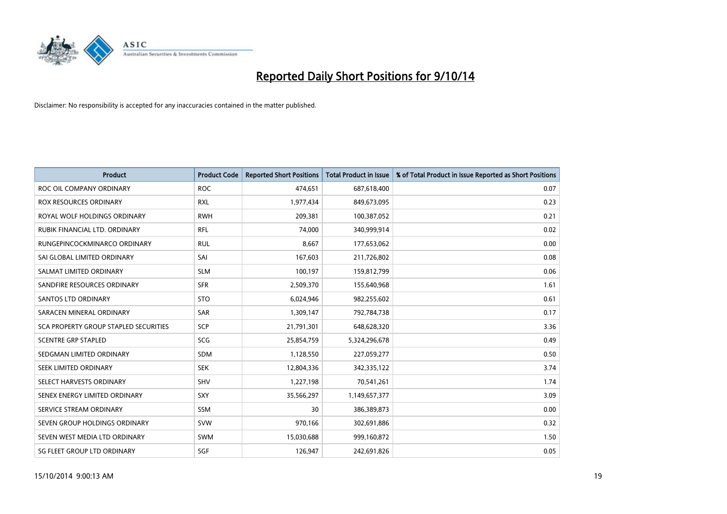

| <b>Product</b>                        | <b>Product Code</b> | <b>Reported Short Positions</b> | <b>Total Product in Issue</b> | % of Total Product in Issue Reported as Short Positions |
|---------------------------------------|---------------------|---------------------------------|-------------------------------|---------------------------------------------------------|
| ROC OIL COMPANY ORDINARY              | <b>ROC</b>          | 474,651                         | 687,618,400                   | 0.07                                                    |
| <b>ROX RESOURCES ORDINARY</b>         | <b>RXL</b>          | 1,977,434                       | 849,673,095                   | 0.23                                                    |
| ROYAL WOLF HOLDINGS ORDINARY          | <b>RWH</b>          | 209,381                         | 100,387,052                   | 0.21                                                    |
| RUBIK FINANCIAL LTD. ORDINARY         | <b>RFL</b>          | 74,000                          | 340,999,914                   | 0.02                                                    |
| RUNGEPINCOCKMINARCO ORDINARY          | <b>RUL</b>          | 8,667                           | 177,653,062                   | 0.00                                                    |
| SAI GLOBAL LIMITED ORDINARY           | SAI                 | 167,603                         | 211,726,802                   | 0.08                                                    |
| SALMAT LIMITED ORDINARY               | <b>SLM</b>          | 100,197                         | 159,812,799                   | 0.06                                                    |
| SANDFIRE RESOURCES ORDINARY           | <b>SFR</b>          | 2,509,370                       | 155,640,968                   | 1.61                                                    |
| SANTOS LTD ORDINARY                   | <b>STO</b>          | 6,024,946                       | 982,255,602                   | 0.61                                                    |
| SARACEN MINERAL ORDINARY              | SAR                 | 1,309,147                       | 792,784,738                   | 0.17                                                    |
| SCA PROPERTY GROUP STAPLED SECURITIES | <b>SCP</b>          | 21,791,301                      | 648,628,320                   | 3.36                                                    |
| <b>SCENTRE GRP STAPLED</b>            | SCG                 | 25,854,759                      | 5,324,296,678                 | 0.49                                                    |
| SEDGMAN LIMITED ORDINARY              | <b>SDM</b>          | 1,128,550                       | 227,059,277                   | 0.50                                                    |
| SEEK LIMITED ORDINARY                 | <b>SEK</b>          | 12,804,336                      | 342,335,122                   | 3.74                                                    |
| SELECT HARVESTS ORDINARY              | SHV                 | 1,227,198                       | 70,541,261                    | 1.74                                                    |
| SENEX ENERGY LIMITED ORDINARY         | SXY                 | 35,566,297                      | 1,149,657,377                 | 3.09                                                    |
| SERVICE STREAM ORDINARY               | SSM                 | 30                              | 386,389,873                   | 0.00                                                    |
| SEVEN GROUP HOLDINGS ORDINARY         | <b>SVW</b>          | 970,166                         | 302,691,886                   | 0.32                                                    |
| SEVEN WEST MEDIA LTD ORDINARY         | <b>SWM</b>          | 15,030,688                      | 999,160,872                   | 1.50                                                    |
| SG FLEET GROUP LTD ORDINARY           | SGF                 | 126,947                         | 242,691,826                   | 0.05                                                    |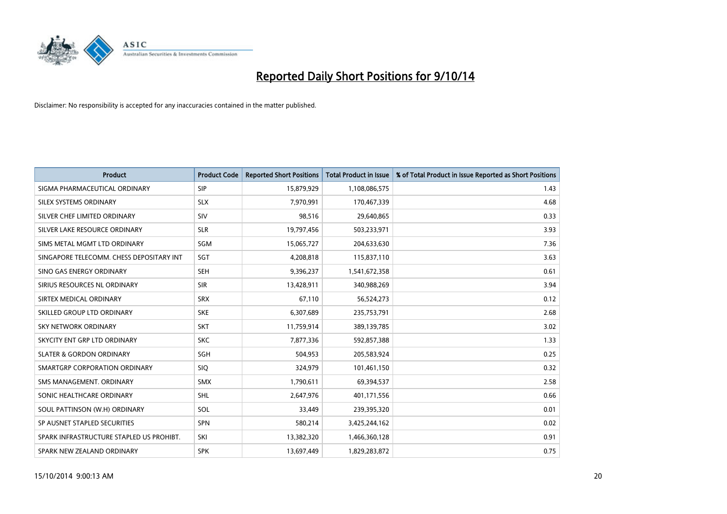

| <b>Product</b>                           | <b>Product Code</b> | <b>Reported Short Positions</b> | <b>Total Product in Issue</b> | % of Total Product in Issue Reported as Short Positions |
|------------------------------------------|---------------------|---------------------------------|-------------------------------|---------------------------------------------------------|
| SIGMA PHARMACEUTICAL ORDINARY            | <b>SIP</b>          | 15,879,929                      | 1,108,086,575                 | 1.43                                                    |
| SILEX SYSTEMS ORDINARY                   | <b>SLX</b>          | 7,970,991                       | 170,467,339                   | 4.68                                                    |
| SILVER CHEF LIMITED ORDINARY             | SIV                 | 98,516                          | 29,640,865                    | 0.33                                                    |
| SILVER LAKE RESOURCE ORDINARY            | <b>SLR</b>          | 19,797,456                      | 503,233,971                   | 3.93                                                    |
| SIMS METAL MGMT LTD ORDINARY             | SGM                 | 15,065,727                      | 204,633,630                   | 7.36                                                    |
| SINGAPORE TELECOMM. CHESS DEPOSITARY INT | SGT                 | 4,208,818                       | 115,837,110                   | 3.63                                                    |
| SINO GAS ENERGY ORDINARY                 | <b>SEH</b>          | 9,396,237                       | 1,541,672,358                 | 0.61                                                    |
| SIRIUS RESOURCES NL ORDINARY             | <b>SIR</b>          | 13,428,911                      | 340,988,269                   | 3.94                                                    |
| SIRTEX MEDICAL ORDINARY                  | <b>SRX</b>          | 67,110                          | 56,524,273                    | 0.12                                                    |
| SKILLED GROUP LTD ORDINARY               | <b>SKE</b>          | 6,307,689                       | 235,753,791                   | 2.68                                                    |
| SKY NETWORK ORDINARY                     | <b>SKT</b>          | 11,759,914                      | 389,139,785                   | 3.02                                                    |
| SKYCITY ENT GRP LTD ORDINARY             | <b>SKC</b>          | 7,877,336                       | 592,857,388                   | 1.33                                                    |
| <b>SLATER &amp; GORDON ORDINARY</b>      | <b>SGH</b>          | 504,953                         | 205,583,924                   | 0.25                                                    |
| SMARTGRP CORPORATION ORDINARY            | <b>SIQ</b>          | 324,979                         | 101,461,150                   | 0.32                                                    |
| SMS MANAGEMENT, ORDINARY                 | <b>SMX</b>          | 1,790,611                       | 69,394,537                    | 2.58                                                    |
| SONIC HEALTHCARE ORDINARY                | <b>SHL</b>          | 2,647,976                       | 401,171,556                   | 0.66                                                    |
| SOUL PATTINSON (W.H) ORDINARY            | SOL                 | 33,449                          | 239,395,320                   | 0.01                                                    |
| SP AUSNET STAPLED SECURITIES             | SPN                 | 580,214                         | 3,425,244,162                 | 0.02                                                    |
| SPARK INFRASTRUCTURE STAPLED US PROHIBT. | SKI                 | 13,382,320                      | 1,466,360,128                 | 0.91                                                    |
| SPARK NEW ZEALAND ORDINARY               | <b>SPK</b>          | 13,697,449                      | 1,829,283,872                 | 0.75                                                    |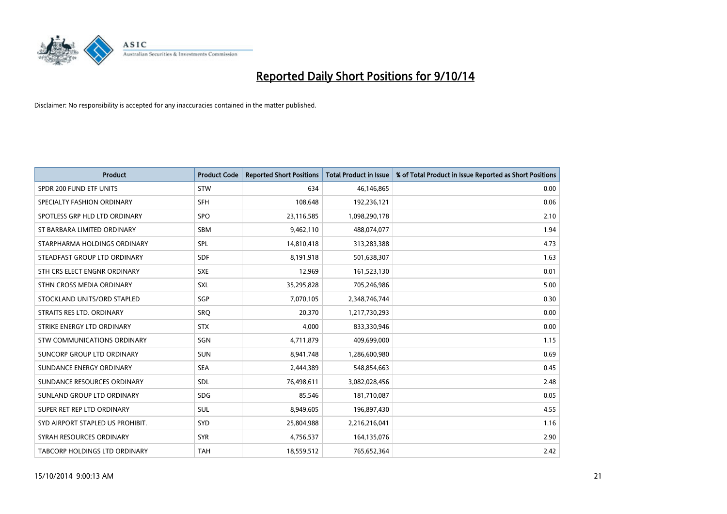

| <b>Product</b>                       | <b>Product Code</b> | <b>Reported Short Positions</b> | <b>Total Product in Issue</b> | % of Total Product in Issue Reported as Short Positions |
|--------------------------------------|---------------------|---------------------------------|-------------------------------|---------------------------------------------------------|
| SPDR 200 FUND ETF UNITS              | <b>STW</b>          | 634                             | 46,146,865                    | 0.00                                                    |
| SPECIALTY FASHION ORDINARY           | <b>SFH</b>          | 108,648                         | 192,236,121                   | 0.06                                                    |
| SPOTLESS GRP HLD LTD ORDINARY        | <b>SPO</b>          | 23,116,585                      | 1,098,290,178                 | 2.10                                                    |
| ST BARBARA LIMITED ORDINARY          | <b>SBM</b>          | 9,462,110                       | 488,074,077                   | 1.94                                                    |
| STARPHARMA HOLDINGS ORDINARY         | SPL                 | 14,810,418                      | 313,283,388                   | 4.73                                                    |
| STEADFAST GROUP LTD ORDINARY         | <b>SDF</b>          | 8,191,918                       | 501,638,307                   | 1.63                                                    |
| STH CRS ELECT ENGNR ORDINARY         | <b>SXE</b>          | 12,969                          | 161,523,130                   | 0.01                                                    |
| STHN CROSS MEDIA ORDINARY            | SXL                 | 35,295,828                      | 705,246,986                   | 5.00                                                    |
| STOCKLAND UNITS/ORD STAPLED          | SGP                 | 7,070,105                       | 2,348,746,744                 | 0.30                                                    |
| STRAITS RES LTD. ORDINARY            | <b>SRO</b>          | 20,370                          | 1,217,730,293                 | 0.00                                                    |
| STRIKE ENERGY LTD ORDINARY           | <b>STX</b>          | 4,000                           | 833,330,946                   | 0.00                                                    |
| STW COMMUNICATIONS ORDINARY          | SGN                 | 4,711,879                       | 409,699,000                   | 1.15                                                    |
| SUNCORP GROUP LTD ORDINARY           | <b>SUN</b>          | 8,941,748                       | 1,286,600,980                 | 0.69                                                    |
| SUNDANCE ENERGY ORDINARY             | <b>SEA</b>          | 2,444,389                       | 548,854,663                   | 0.45                                                    |
| SUNDANCE RESOURCES ORDINARY          | SDL                 | 76,498,611                      | 3,082,028,456                 | 2.48                                                    |
| SUNLAND GROUP LTD ORDINARY           | <b>SDG</b>          | 85,546                          | 181,710,087                   | 0.05                                                    |
| SUPER RET REP LTD ORDINARY           | SUL                 | 8,949,605                       | 196,897,430                   | 4.55                                                    |
| SYD AIRPORT STAPLED US PROHIBIT.     | SYD                 | 25,804,988                      | 2,216,216,041                 | 1.16                                                    |
| SYRAH RESOURCES ORDINARY             | <b>SYR</b>          | 4,756,537                       | 164,135,076                   | 2.90                                                    |
| <b>TABCORP HOLDINGS LTD ORDINARY</b> | <b>TAH</b>          | 18,559,512                      | 765,652,364                   | 2.42                                                    |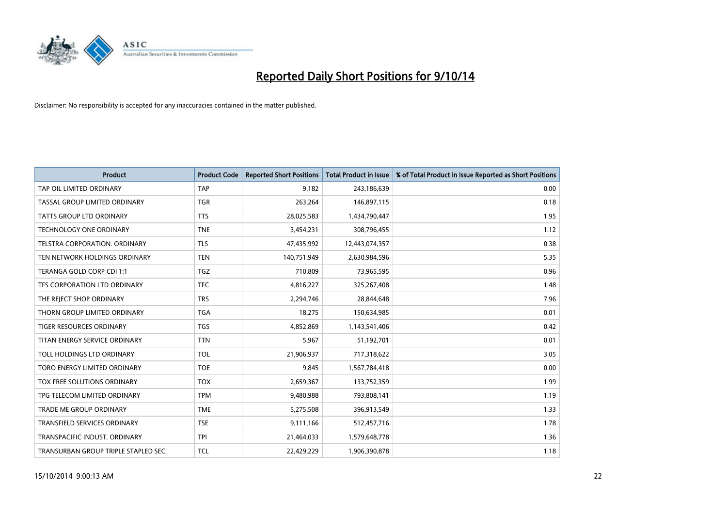

| <b>Product</b>                       | <b>Product Code</b> | <b>Reported Short Positions</b> | <b>Total Product in Issue</b> | % of Total Product in Issue Reported as Short Positions |
|--------------------------------------|---------------------|---------------------------------|-------------------------------|---------------------------------------------------------|
| TAP OIL LIMITED ORDINARY             | <b>TAP</b>          | 9,182                           | 243,186,639                   | 0.00                                                    |
| TASSAL GROUP LIMITED ORDINARY        | <b>TGR</b>          | 263,264                         | 146,897,115                   | 0.18                                                    |
| <b>TATTS GROUP LTD ORDINARY</b>      | <b>TTS</b>          | 28,025,583                      | 1,434,790,447                 | 1.95                                                    |
| TECHNOLOGY ONE ORDINARY              | <b>TNE</b>          | 3,454,231                       | 308,796,455                   | 1.12                                                    |
| TELSTRA CORPORATION, ORDINARY        | <b>TLS</b>          | 47,435,992                      | 12,443,074,357                | 0.38                                                    |
| TEN NETWORK HOLDINGS ORDINARY        | <b>TEN</b>          | 140,751,949                     | 2,630,984,596                 | 5.35                                                    |
| TERANGA GOLD CORP CDI 1:1            | <b>TGZ</b>          | 710,809                         | 73,965,595                    | 0.96                                                    |
| TFS CORPORATION LTD ORDINARY         | <b>TFC</b>          | 4,816,227                       | 325,267,408                   | 1.48                                                    |
| THE REJECT SHOP ORDINARY             | <b>TRS</b>          | 2,294,746                       | 28,844,648                    | 7.96                                                    |
| THORN GROUP LIMITED ORDINARY         | <b>TGA</b>          | 18,275                          | 150,634,985                   | 0.01                                                    |
| TIGER RESOURCES ORDINARY             | <b>TGS</b>          | 4,852,869                       | 1,143,541,406                 | 0.42                                                    |
| TITAN ENERGY SERVICE ORDINARY        | <b>TTN</b>          | 5,967                           | 51,192,701                    | 0.01                                                    |
| TOLL HOLDINGS LTD ORDINARY           | <b>TOL</b>          | 21,906,937                      | 717,318,622                   | 3.05                                                    |
| TORO ENERGY LIMITED ORDINARY         | <b>TOE</b>          | 9,845                           | 1,567,784,418                 | 0.00                                                    |
| TOX FREE SOLUTIONS ORDINARY          | <b>TOX</b>          | 2,659,367                       | 133,752,359                   | 1.99                                                    |
| TPG TELECOM LIMITED ORDINARY         | <b>TPM</b>          | 9,480,988                       | 793,808,141                   | 1.19                                                    |
| <b>TRADE ME GROUP ORDINARY</b>       | <b>TME</b>          | 5,275,508                       | 396,913,549                   | 1.33                                                    |
| TRANSFIELD SERVICES ORDINARY         | <b>TSE</b>          | 9,111,166                       | 512,457,716                   | 1.78                                                    |
| TRANSPACIFIC INDUST, ORDINARY        | <b>TPI</b>          | 21,464,033                      | 1,579,648,778                 | 1.36                                                    |
| TRANSURBAN GROUP TRIPLE STAPLED SEC. | <b>TCL</b>          | 22,429,229                      | 1,906,390,878                 | 1.18                                                    |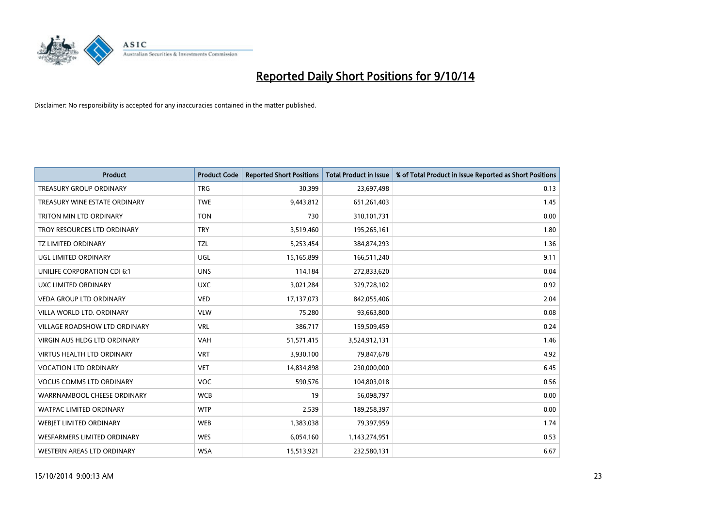

| <b>Product</b>                      | <b>Product Code</b> | <b>Reported Short Positions</b> | <b>Total Product in Issue</b> | % of Total Product in Issue Reported as Short Positions |
|-------------------------------------|---------------------|---------------------------------|-------------------------------|---------------------------------------------------------|
| <b>TREASURY GROUP ORDINARY</b>      | <b>TRG</b>          | 30,399                          | 23,697,498                    | 0.13                                                    |
| TREASURY WINE ESTATE ORDINARY       | <b>TWE</b>          | 9,443,812                       | 651,261,403                   | 1.45                                                    |
| TRITON MIN LTD ORDINARY             | <b>TON</b>          | 730                             | 310,101,731                   | 0.00                                                    |
| TROY RESOURCES LTD ORDINARY         | <b>TRY</b>          | 3,519,460                       | 195,265,161                   | 1.80                                                    |
| <b>TZ LIMITED ORDINARY</b>          | TZL                 | 5,253,454                       | 384,874,293                   | 1.36                                                    |
| <b>UGL LIMITED ORDINARY</b>         | UGL                 | 15,165,899                      | 166,511,240                   | 9.11                                                    |
| UNILIFE CORPORATION CDI 6:1         | <b>UNS</b>          | 114,184                         | 272,833,620                   | 0.04                                                    |
| UXC LIMITED ORDINARY                | <b>UXC</b>          | 3,021,284                       | 329,728,102                   | 0.92                                                    |
| <b>VEDA GROUP LTD ORDINARY</b>      | <b>VED</b>          | 17,137,073                      | 842,055,406                   | 2.04                                                    |
| VILLA WORLD LTD, ORDINARY           | <b>VLW</b>          | 75,280                          | 93,663,800                    | 0.08                                                    |
| VILLAGE ROADSHOW LTD ORDINARY       | <b>VRL</b>          | 386,717                         | 159,509,459                   | 0.24                                                    |
| <b>VIRGIN AUS HLDG LTD ORDINARY</b> | <b>VAH</b>          | 51,571,415                      | 3,524,912,131                 | 1.46                                                    |
| VIRTUS HEALTH LTD ORDINARY          | <b>VRT</b>          | 3,930,100                       | 79,847,678                    | 4.92                                                    |
| <b>VOCATION LTD ORDINARY</b>        | <b>VET</b>          | 14,834,898                      | 230,000,000                   | 6.45                                                    |
| <b>VOCUS COMMS LTD ORDINARY</b>     | <b>VOC</b>          | 590,576                         | 104,803,018                   | 0.56                                                    |
| WARRNAMBOOL CHEESE ORDINARY         | <b>WCB</b>          | 19                              | 56,098,797                    | 0.00                                                    |
| WATPAC LIMITED ORDINARY             | <b>WTP</b>          | 2,539                           | 189,258,397                   | 0.00                                                    |
| WEBJET LIMITED ORDINARY             | <b>WEB</b>          | 1,383,038                       | 79,397,959                    | 1.74                                                    |
| WESFARMERS LIMITED ORDINARY         | <b>WES</b>          | 6,054,160                       | 1,143,274,951                 | 0.53                                                    |
| WESTERN AREAS LTD ORDINARY          | <b>WSA</b>          | 15,513,921                      | 232,580,131                   | 6.67                                                    |